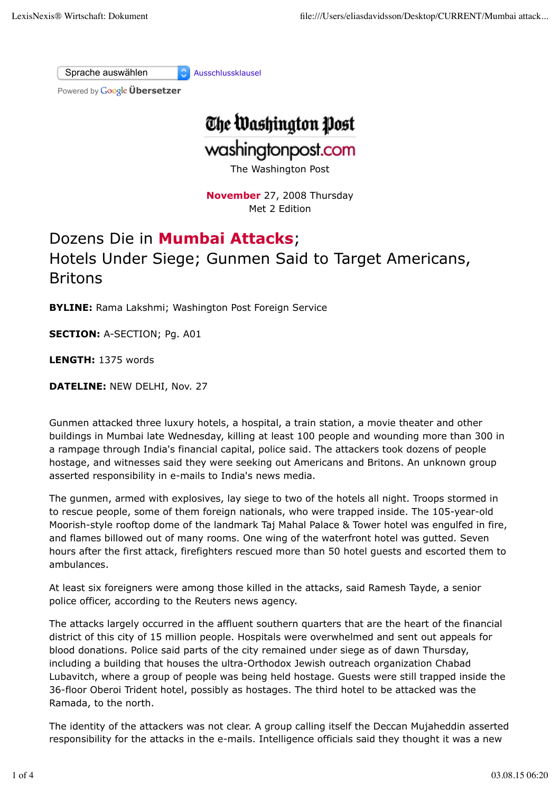Sprache auswählen

Powered by **Google Übersetzer** 

## The Washington Post

Ausschlussklausel

washingtonpost.com

The Washington Post

**November** 27, 2008 Thursday Met 2 Edition

## Dozens Die in **Mumbai Attacks**; Hotels Under Siege; Gunmen Said to Target Americans, Britons

**BYLINE:** Rama Lakshmi; Washington Post Foreign Service

**SECTION:** A-SECTION; Pg. A01

**LENGTH:** 1375 words

**DATELINE:** NEW DELHI, Nov. 27

Gunmen attacked three luxury hotels, a hospital, a train station, a movie theater and other buildings in Mumbai late Wednesday, killing at least 100 people and wounding more than 300 in a rampage through India's financial capital, police said. The attackers took dozens of people hostage, and witnesses said they were seeking out Americans and Britons. An unknown group asserted responsibility in e-mails to India's news media.

The gunmen, armed with explosives, lay siege to two of the hotels all night. Troops stormed in to rescue people, some of them foreign nationals, who were trapped inside. The 105-year-old Moorish-style rooftop dome of the landmark Taj Mahal Palace & Tower hotel was engulfed in fire, and flames billowed out of many rooms. One wing of the waterfront hotel was gutted. Seven hours after the first attack, firefighters rescued more than 50 hotel guests and escorted them to ambulances.

At least six foreigners were among those killed in the attacks, said Ramesh Tayde, a senior police officer, according to the Reuters news agency.

The attacks largely occurred in the affluent southern quarters that are the heart of the financial district of this city of 15 million people. Hospitals were overwhelmed and sent out appeals for blood donations. Police said parts of the city remained under siege as of dawn Thursday, including a building that houses the ultra-Orthodox Jewish outreach organization Chabad Lubavitch, where a group of people was being held hostage. Guests were still trapped inside the 36-floor Oberoi Trident hotel, possibly as hostages. The third hotel to be attacked was the Ramada, to the north.

The identity of the attackers was not clear. A group calling itself the Deccan Mujaheddin asserted responsibility for the attacks in the e-mails. Intelligence officials said they thought it was a new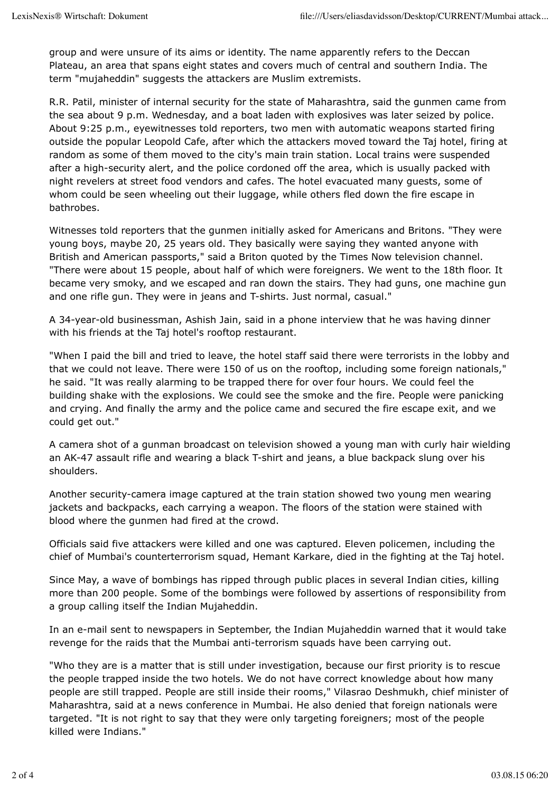group and were unsure of its aims or identity. The name apparently refers to the Deccan Plateau, an area that spans eight states and covers much of central and southern India. The term "mujaheddin" suggests the attackers are Muslim extremists.

R.R. Patil, minister of internal security for the state of Maharashtra, said the gunmen came from the sea about 9 p.m. Wednesday, and a boat laden with explosives was later seized by police. About 9:25 p.m., eyewitnesses told reporters, two men with automatic weapons started firing outside the popular Leopold Cafe, after which the attackers moved toward the Taj hotel, firing at random as some of them moved to the city's main train station. Local trains were suspended after a high-security alert, and the police cordoned off the area, which is usually packed with night revelers at street food vendors and cafes. The hotel evacuated many guests, some of whom could be seen wheeling out their luggage, while others fled down the fire escape in bathrobes.

Witnesses told reporters that the gunmen initially asked for Americans and Britons. "They were young boys, maybe 20, 25 years old. They basically were saying they wanted anyone with British and American passports," said a Briton quoted by the Times Now television channel. "There were about 15 people, about half of which were foreigners. We went to the 18th floor. It became very smoky, and we escaped and ran down the stairs. They had guns, one machine gun and one rifle gun. They were in jeans and T-shirts. Just normal, casual."

A 34-year-old businessman, Ashish Jain, said in a phone interview that he was having dinner with his friends at the Taj hotel's rooftop restaurant.

"When I paid the bill and tried to leave, the hotel staff said there were terrorists in the lobby and that we could not leave. There were 150 of us on the rooftop, including some foreign nationals," he said. "It was really alarming to be trapped there for over four hours. We could feel the building shake with the explosions. We could see the smoke and the fire. People were panicking and crying. And finally the army and the police came and secured the fire escape exit, and we could get out."

A camera shot of a gunman broadcast on television showed a young man with curly hair wielding an AK-47 assault rifle and wearing a black T-shirt and jeans, a blue backpack slung over his shoulders.

Another security-camera image captured at the train station showed two young men wearing jackets and backpacks, each carrying a weapon. The floors of the station were stained with blood where the gunmen had fired at the crowd.

Officials said five attackers were killed and one was captured. Eleven policemen, including the chief of Mumbai's counterterrorism squad, Hemant Karkare, died in the fighting at the Taj hotel.

Since May, a wave of bombings has ripped through public places in several Indian cities, killing more than 200 people. Some of the bombings were followed by assertions of responsibility from a group calling itself the Indian Mujaheddin.

In an e-mail sent to newspapers in September, the Indian Mujaheddin warned that it would take revenge for the raids that the Mumbai anti-terrorism squads have been carrying out.

"Who they are is a matter that is still under investigation, because our first priority is to rescue the people trapped inside the two hotels. We do not have correct knowledge about how many people are still trapped. People are still inside their rooms," Vilasrao Deshmukh, chief minister of Maharashtra, said at a news conference in Mumbai. He also denied that foreign nationals were targeted. "It is not right to say that they were only targeting foreigners; most of the people killed were Indians."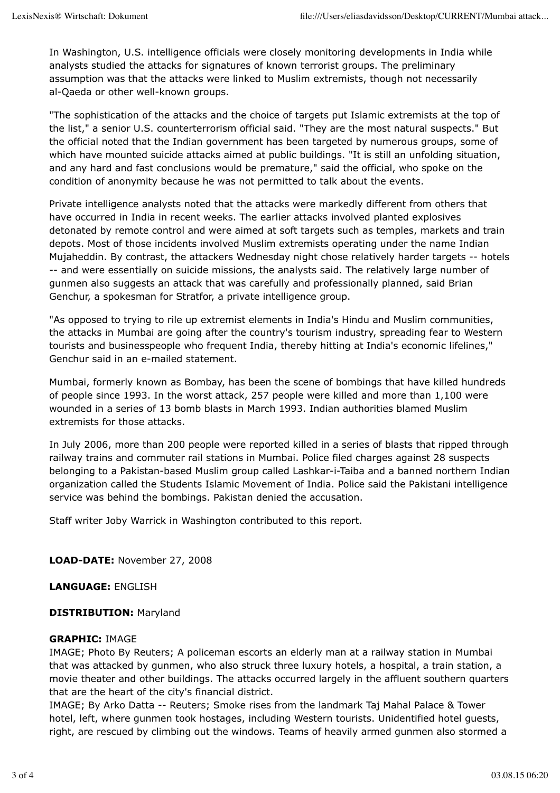In Washington, U.S. intelligence officials were closely monitoring developments in India while analysts studied the attacks for signatures of known terrorist groups. The preliminary assumption was that the attacks were linked to Muslim extremists, though not necessarily al-Qaeda or other well-known groups.

"The sophistication of the attacks and the choice of targets put Islamic extremists at the top of the list," a senior U.S. counterterrorism official said. "They are the most natural suspects." But the official noted that the Indian government has been targeted by numerous groups, some of which have mounted suicide attacks aimed at public buildings. "It is still an unfolding situation, and any hard and fast conclusions would be premature," said the official, who spoke on the condition of anonymity because he was not permitted to talk about the events.

Private intelligence analysts noted that the attacks were markedly different from others that have occurred in India in recent weeks. The earlier attacks involved planted explosives detonated by remote control and were aimed at soft targets such as temples, markets and train depots. Most of those incidents involved Muslim extremists operating under the name Indian Mujaheddin. By contrast, the attackers Wednesday night chose relatively harder targets -- hotels -- and were essentially on suicide missions, the analysts said. The relatively large number of gunmen also suggests an attack that was carefully and professionally planned, said Brian Genchur, a spokesman for Stratfor, a private intelligence group.

"As opposed to trying to rile up extremist elements in India's Hindu and Muslim communities, the attacks in Mumbai are going after the country's tourism industry, spreading fear to Western tourists and businesspeople who frequent India, thereby hitting at India's economic lifelines," Genchur said in an e-mailed statement.

Mumbai, formerly known as Bombay, has been the scene of bombings that have killed hundreds of people since 1993. In the worst attack, 257 people were killed and more than 1,100 were wounded in a series of 13 bomb blasts in March 1993. Indian authorities blamed Muslim extremists for those attacks.

In July 2006, more than 200 people were reported killed in a series of blasts that ripped through railway trains and commuter rail stations in Mumbai. Police filed charges against 28 suspects belonging to a Pakistan-based Muslim group called Lashkar-i-Taiba and a banned northern Indian organization called the Students Islamic Movement of India. Police said the Pakistani intelligence service was behind the bombings. Pakistan denied the accusation.

Staff writer Joby Warrick in Washington contributed to this report.

**LOAD-DATE:** November 27, 2008

**LANGUAGE:** ENGLISH

**DISTRIBUTION:** Maryland

## **GRAPHIC:** IMAGE

IMAGE; Photo By Reuters; A policeman escorts an elderly man at a railway station in Mumbai that was attacked by gunmen, who also struck three luxury hotels, a hospital, a train station, a movie theater and other buildings. The attacks occurred largely in the affluent southern quarters that are the heart of the city's financial district.

IMAGE; By Arko Datta -- Reuters; Smoke rises from the landmark Taj Mahal Palace & Tower hotel, left, where gunmen took hostages, including Western tourists. Unidentified hotel guests, right, are rescued by climbing out the windows. Teams of heavily armed gunmen also stormed a